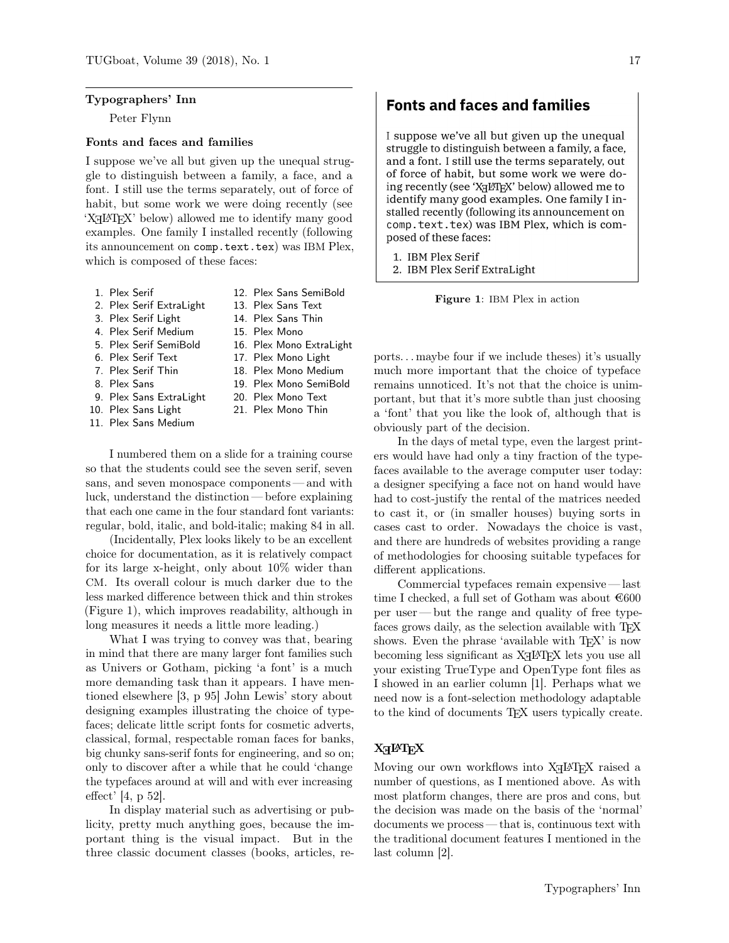### Typographers' Inn

Peter Flynn

### Fonts and faces and families

I suppose we've all but given up the unequal struggle to distinguish between a family, a face, and a font. I still use the terms separately, out of force of habit, but some work we were doing recently (see 'XHIFIEX' below) allowed me to identify many good examples. One family I installed recently (following its announcement on comp.text.tex) was IBM Plex, which is composed of these faces:

- 1. Plex Serif
- 2. Plex Serif ExtraLight
- 3. Plex Serif Light
- 4. Plex Serif Medium
- 5. Plex Serif SemiBold
- 6. Plex Serif Text
- 7. Plex Serif Thin
- 8. Plex Sans
- 9. Plex Sans ExtraLight
- 10. Plex Sans Light
- 11. Plex Sans Medium

I numbered them on a slide for a training course so that the students could see the seven serif, seven sans, and seven monospace components — and with luck, understand the distinction — before explaining that each one came in the four standard font variants: regular, bold, italic, and bold-italic; making 84 in all.

(Incidentally, Plex looks likely to be an excellent choice for documentation, as it is relatively compact for its large x-height, only about 10% wider than CM. Its overall colour is much darker due to the less marked difference between thick and thin strokes (Figure 1), which improves readability, although in long measures it needs a little more leading.)

What I was trying to convey was that, bearing in mind that there are many larger font families such as Univers or Gotham, picking 'a font' is a much more demanding task than it appears. I have mentioned elsewhere [3, p 95] John Lewis' story about designing examples illustrating the choice of typefaces; delicate little script fonts for cosmetic adverts, classical, formal, respectable roman faces for banks, big chunky sans-serif fonts for engineering, and so on; only to discover after a while that he could 'change the typefaces around at will and with ever increasing effect' [4, p 52].

In display material such as advertising or publicity, pretty much anything goes, because the important thing is the visual impact. But in the three classic document classes (books, articles, re**Fonts and faces and families** 

I suppose we've all but given up the unequal struggle to distinguish between a family, a face, and a font. I still use the terms separately, out of force of habit, but some work we were doing recently (see 'XHLTEX' below) allowed me to identify many good examples. One family I installed recently (following its announcement on comp.text.tex) was IBM Plex, which is composed of these faces:

1. IBM Plex Serif 2. IBM Plex Serif ExtraLight

Figure 1: IBM Plex in action

ports. . . maybe four if we include theses) it's usually much more important that the choice of typeface remains unnoticed. It's not that the choice is unimportant, but that it's more subtle than just choosing a 'font' that you like the look of, although that is obviously part of the decision.

In the days of metal type, even the largest printers would have had only a tiny fraction of the typefaces available to the average computer user today: a designer specifying a face not on hand would have had to cost-justify the rental of the matrices needed to cast it, or (in smaller houses) buying sorts in cases cast to order. Nowadays the choice is vast, and there are hundreds of websites providing a range of methodologies for choosing suitable typefaces for different applications.

Commercial typefaces remain expensive— last time I checked, a full set of Gotham was about  $€600$ per user— but the range and quality of free typefaces grows daily, as the selection available with TFX shows. Even the phrase 'available with T<sub>F</sub>X' is now becoming less significant as  $X \rightarrow Y \rightarrow Y$  lets you use all your existing TrueType and OpenType font files as I showed in an earlier column [1]. Perhaps what we need now is a font-selection methodology adaptable to the kind of documents T<sub>E</sub>X users typically create.

# $X_{\text{d}}$ let $\operatorname{F}$ X

Moving our own workflows into XHPTEX raised a number of questions, as I mentioned above. As with most platform changes, there are pros and cons, but the decision was made on the basis of the 'normal' documents we process — that is, continuous text with the traditional document features I mentioned in the last column [2].

12. Plex Sans SemiBold 13. Plex Sans Text 14. Plex Sans Thin 15. Plex Mono 16. Plex Mono ExtraLight 17. Plex Mono Light 18. Plex Mono Medium 19. Plex Mono SemiBold 20. Plex Mono Text 21. Plex Mono Thin